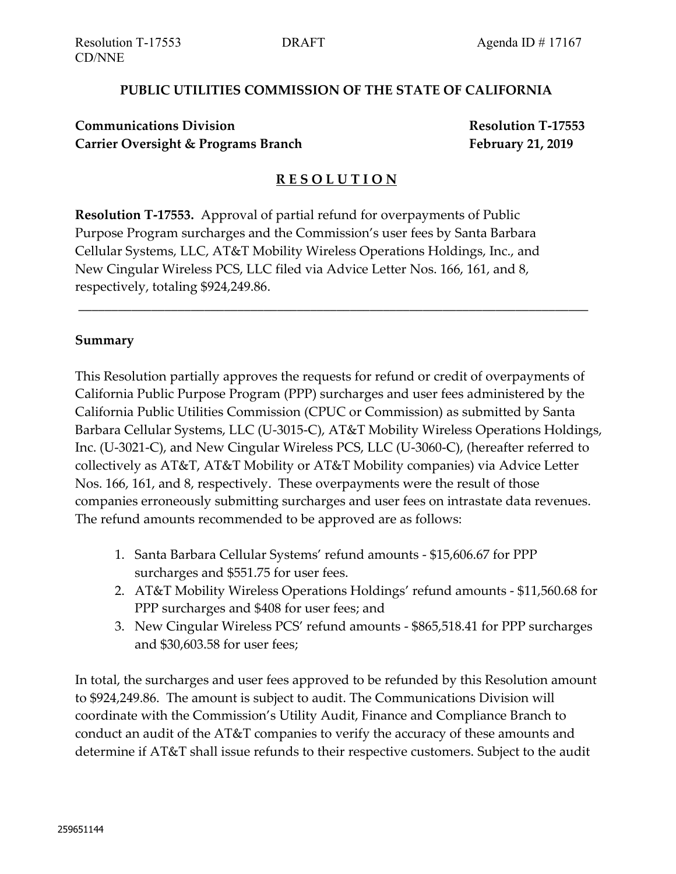#### **PUBLIC UTILITIES COMMISSION OF THE STATE OF CALIFORNIA**

# **Communications Division Resolution T-17553 Carrier Oversight & Programs Branch February 21, 2019**

#### **R E S O L U T I O N**

\_\_\_\_\_\_\_\_\_\_\_\_\_\_\_\_\_\_\_\_\_\_\_\_\_\_\_\_\_\_\_\_\_\_\_\_\_\_\_\_\_\_\_\_\_\_\_\_\_\_\_\_\_\_\_\_\_\_\_\_\_\_\_\_\_\_\_\_\_\_\_\_\_\_\_\_\_

**Resolution T-17553.** Approval of partial refund for overpayments of Public Purpose Program surcharges and the Commission's user fees by Santa Barbara Cellular Systems, LLC, AT&T Mobility Wireless Operations Holdings, Inc., and New Cingular Wireless PCS, LLC filed via Advice Letter Nos. 166, 161, and 8, respectively, totaling \$924,249.86.

#### **Summary**

This Resolution partially approves the requests for refund or credit of overpayments of California Public Purpose Program (PPP) surcharges and user fees administered by the California Public Utilities Commission (CPUC or Commission) as submitted by Santa Barbara Cellular Systems, LLC (U-3015-C), AT&T Mobility Wireless Operations Holdings, Inc. (U-3021-C), and New Cingular Wireless PCS, LLC (U-3060-C), (hereafter referred to collectively as AT&T, AT&T Mobility or AT&T Mobility companies) via Advice Letter Nos. 166, 161, and 8, respectively. These overpayments were the result of those companies erroneously submitting surcharges and user fees on intrastate data revenues. The refund amounts recommended to be approved are as follows:

- 1. Santa Barbara Cellular Systems' refund amounts \$15,606.67 for PPP surcharges and \$551.75 for user fees.
- 2. AT&T Mobility Wireless Operations Holdings' refund amounts \$11,560.68 for PPP surcharges and \$408 for user fees; and
- 3. New Cingular Wireless PCS' refund amounts \$865,518.41 for PPP surcharges and \$30,603.58 for user fees;

In total, the surcharges and user fees approved to be refunded by this Resolution amount to \$924,249.86. The amount is subject to audit. The Communications Division will coordinate with the Commission's Utility Audit, Finance and Compliance Branch to conduct an audit of the AT&T companies to verify the accuracy of these amounts and determine if AT&T shall issue refunds to their respective customers. Subject to the audit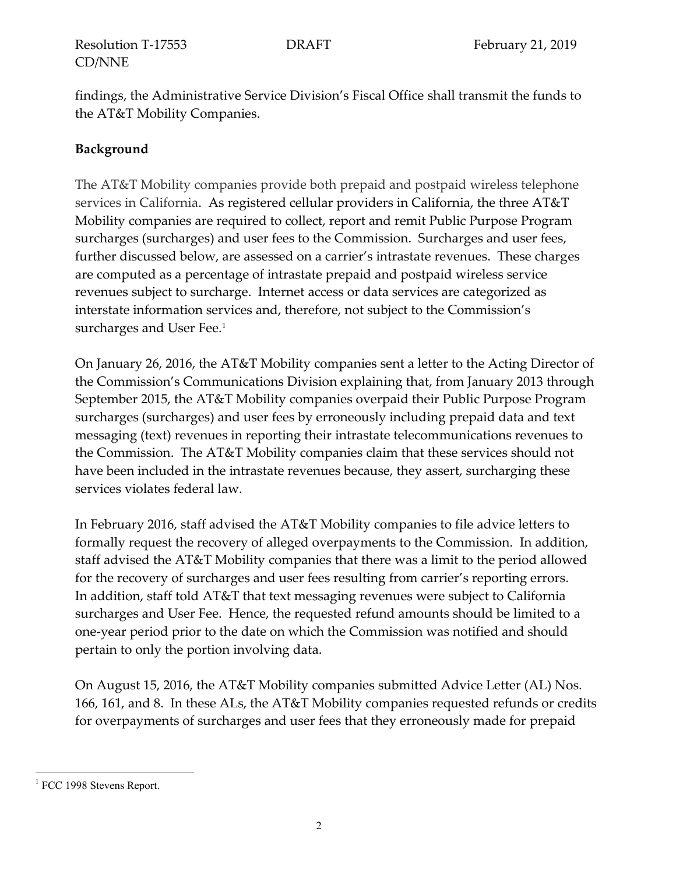findings, the Administrative Service Division's Fiscal Office shall transmit the funds to the AT&T Mobility Companies.

## **Background**

The AT&T Mobility companies provide both prepaid and postpaid wireless telephone services in California. As registered cellular providers in California, the three AT&T Mobility companies are required to collect, report and remit Public Purpose Program surcharges (surcharges) and user fees to the Commission. Surcharges and user fees, further discussed below, are assessed on a carrier's intrastate revenues. These charges are computed as a percentage of intrastate prepaid and postpaid wireless service revenues subject to surcharge. Internet access or data services are categorized as interstate information services and, therefore, not subject to the Commission's surcharges and User Fee.<sup>1</sup>

On January 26, 2016, the AT&T Mobility companies sent a letter to the Acting Director of the Commission's Communications Division explaining that, from January 2013 through September 2015, the AT&T Mobility companies overpaid their Public Purpose Program surcharges (surcharges) and user fees by erroneously including prepaid data and text messaging (text) revenues in reporting their intrastate telecommunications revenues to the Commission. The AT&T Mobility companies claim that these services should not have been included in the intrastate revenues because, they assert, surcharging these services violates federal law.

In February 2016, staff advised the AT&T Mobility companies to file advice letters to formally request the recovery of alleged overpayments to the Commission. In addition, staff advised the AT&T Mobility companies that there was a limit to the period allowed for the recovery of surcharges and user fees resulting from carrier's reporting errors. In addition, staff told AT&T that text messaging revenues were subject to California surcharges and User Fee. Hence, the requested refund amounts should be limited to a one-year period prior to the date on which the Commission was notified and should pertain to only the portion involving data.

On August 15, 2016, the AT&T Mobility companies submitted Advice Letter (AL) Nos. 166, 161, and 8. In these ALs, the AT&T Mobility companies requested refunds or credits for overpayments of surcharges and user fees that they erroneously made for prepaid

 $\overline{a}$ <sup>1</sup> FCC 1998 Stevens Report.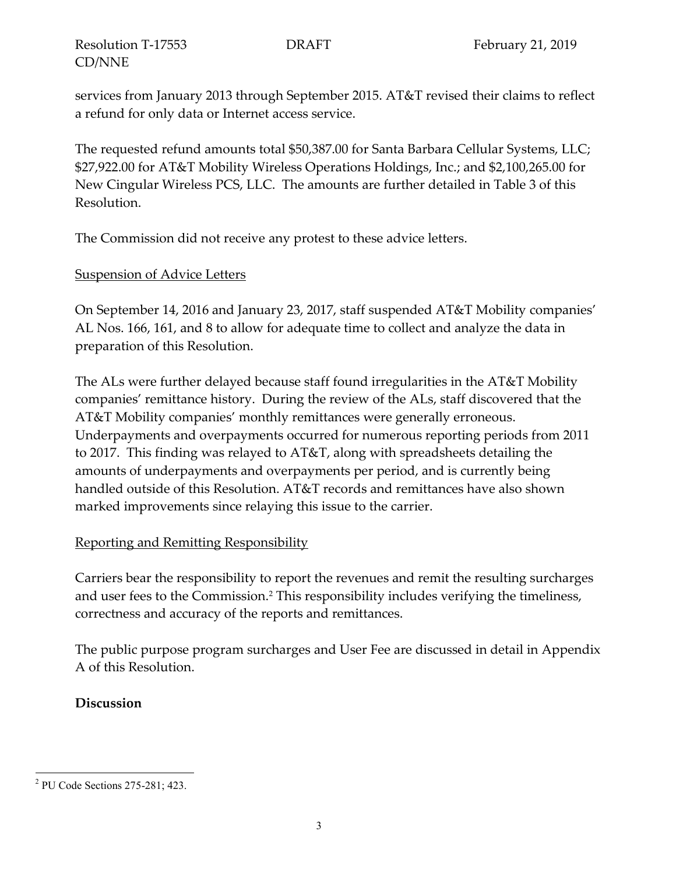services from January 2013 through September 2015. AT&T revised their claims to reflect a refund for only data or Internet access service.

The requested refund amounts total \$50,387.00 for Santa Barbara Cellular Systems, LLC; \$27,922.00 for AT&T Mobility Wireless Operations Holdings, Inc.; and \$2,100,265.00 for New Cingular Wireless PCS, LLC. The amounts are further detailed in Table 3 of this Resolution.

The Commission did not receive any protest to these advice letters.

### **Suspension of Advice Letters**

On September 14, 2016 and January 23, 2017, staff suspended AT&T Mobility companies' AL Nos. 166, 161, and 8 to allow for adequate time to collect and analyze the data in preparation of this Resolution.

The ALs were further delayed because staff found irregularities in the AT&T Mobility companies' remittance history. During the review of the ALs, staff discovered that the AT&T Mobility companies' monthly remittances were generally erroneous. Underpayments and overpayments occurred for numerous reporting periods from 2011 to 2017. This finding was relayed to AT&T, along with spreadsheets detailing the amounts of underpayments and overpayments per period, and is currently being handled outside of this Resolution. AT&T records and remittances have also shown marked improvements since relaying this issue to the carrier.

# Reporting and Remitting Responsibility

Carriers bear the responsibility to report the revenues and remit the resulting surcharges and user fees to the Commission.<sup>2</sup> This responsibility includes verifying the timeliness, correctness and accuracy of the reports and remittances.

The public purpose program surcharges and User Fee are discussed in detail in Appendix A of this Resolution.

# **Discussion**

 $\overline{a}$ <sup>2</sup> PU Code Sections 275-281; 423.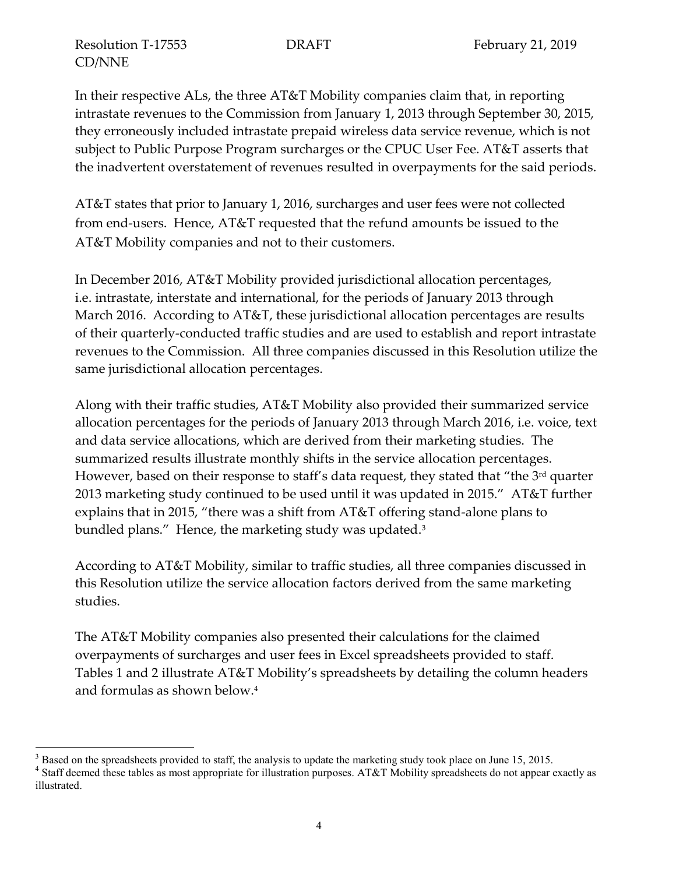In their respective ALs, the three AT&T Mobility companies claim that, in reporting intrastate revenues to the Commission from January 1, 2013 through September 30, 2015, they erroneously included intrastate prepaid wireless data service revenue, which is not subject to Public Purpose Program surcharges or the CPUC User Fee. AT&T asserts that the inadvertent overstatement of revenues resulted in overpayments for the said periods.

AT&T states that prior to January 1, 2016, surcharges and user fees were not collected from end-users. Hence, AT&T requested that the refund amounts be issued to the AT&T Mobility companies and not to their customers.

In December 2016, AT&T Mobility provided jurisdictional allocation percentages, i.e. intrastate, interstate and international, for the periods of January 2013 through March 2016. According to  $AT&T$ , these jurisdictional allocation percentages are results of their quarterly-conducted traffic studies and are used to establish and report intrastate revenues to the Commission. All three companies discussed in this Resolution utilize the same jurisdictional allocation percentages.

Along with their traffic studies, AT&T Mobility also provided their summarized service allocation percentages for the periods of January 2013 through March 2016, i.e. voice, text and data service allocations, which are derived from their marketing studies. The summarized results illustrate monthly shifts in the service allocation percentages. However, based on their response to staff's data request, they stated that "the 3rd quarter 2013 marketing study continued to be used until it was updated in 2015." AT&T further explains that in 2015, "there was a shift from AT&T offering stand-alone plans to bundled plans." Hence, the marketing study was updated. 3

According to AT&T Mobility, similar to traffic studies, all three companies discussed in this Resolution utilize the service allocation factors derived from the same marketing studies.

The AT&T Mobility companies also presented their calculations for the claimed overpayments of surcharges and user fees in Excel spreadsheets provided to staff. Tables 1 and 2 illustrate AT&T Mobility's spreadsheets by detailing the column headers and formulas as shown below. 4

 $\overline{a}$ <sup>3</sup> Based on the spreadsheets provided to staff, the analysis to update the marketing study took place on June 15, 2015.

<sup>&</sup>lt;sup>4</sup> Staff deemed these tables as most appropriate for illustration purposes. AT&T Mobility spreadsheets do not appear exactly as illustrated.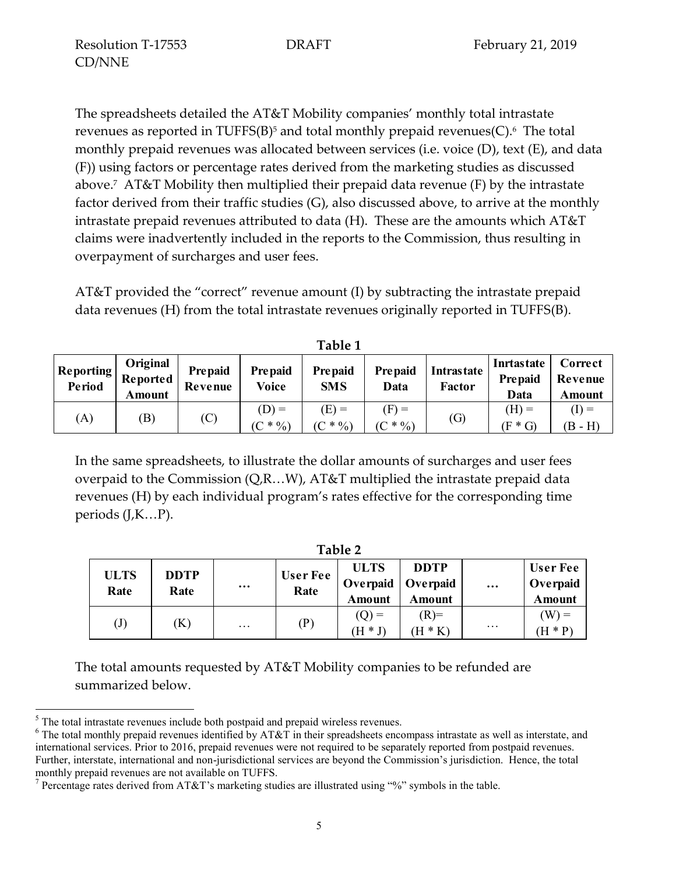The spreadsheets detailed the AT&T Mobility companies' monthly total intrastate revenues as reported in TUFFS(B)<sup>5</sup> and total monthly prepaid revenues(C).<sup>6</sup> The total monthly prepaid revenues was allocated between services (i.e. voice (D), text (E), and data (F)) using factors or percentage rates derived from the marketing studies as discussed above. 7 AT&T Mobility then multiplied their prepaid data revenue (F) by the intrastate factor derived from their traffic studies (G), also discussed above, to arrive at the monthly intrastate prepaid revenues attributed to data (H). These are the amounts which AT&T claims were inadvertently included in the reports to the Commission, thus resulting in overpayment of surcharges and user fees.

AT&T provided the "correct" revenue amount (I) by subtracting the intrastate prepaid data revenues (H) from the total intrastate revenues originally reported in TUFFS(B).

| Table 1                    |                                |                           |                         |                              |                        |                             |                                      |                              |
|----------------------------|--------------------------------|---------------------------|-------------------------|------------------------------|------------------------|-----------------------------|--------------------------------------|------------------------------|
| <b>Reporting</b><br>Period | Original<br>Reported<br>Amount | <b>Prepaid</b><br>Revenue | <b>Prepaid</b><br>Voice | <b>Prepaid</b><br><b>SMS</b> | <b>Prepaid</b><br>Data | <b>Intrastate</b><br>Factor | Inrtastate<br><b>Prepaid</b><br>Data | Correct<br>Revenue<br>Amount |
| (A)                        | (B)                            | (C)                       | $(D) =$<br>$(C * 9/0)$  | $(E) =$<br>$(C * 9/0)$       | $F =$<br>$(C * 9/0)$   | $\left( G\right)$           | $(H) =$<br>$(F * G)$                 | $(I) =$<br>$(B - H)$         |

In the same spreadsheets, to illustrate the dollar amounts of surcharges and user fees overpaid to the Commission (Q,R…W), AT&T multiplied the intrastate prepaid data revenues (H) by each individual program's rates effective for the corresponding time periods (J,K…P).

| Table 2                    |                     |          |                         |                              |                                                     |          |                                              |
|----------------------------|---------------------|----------|-------------------------|------------------------------|-----------------------------------------------------|----------|----------------------------------------------|
| <b>ULTS</b><br>Rate        | <b>DDTP</b><br>Rate | $\cdots$ | <b>User Fee</b><br>Rate | <b>ULTS</b><br><b>Amount</b> | <b>DDTP</b><br>Overpaid   Overpaid<br><b>Amount</b> | $\cdots$ | <b>User Fee</b><br>Overpaid<br><b>Amount</b> |
| $\left( \mathrm{J}\right)$ | (K)                 | $\cdots$ | (P)                     | $(Q) =$<br>$H * J$           | $(R)$ =<br>$(H * K)$                                | .        | W.<br>$(H * P)$                              |

The total amounts requested by AT&T Mobility companies to be refunded are summarized below.

 $\overline{a}$ 

<sup>&</sup>lt;sup>5</sup> The total intrastate revenues include both postpaid and prepaid wireless revenues.

 $6$  The total monthly prepaid revenues identified by AT&T in their spreadsheets encompass intrastate as well as interstate, and international services. Prior to 2016, prepaid revenues were not required to be separately reported from postpaid revenues. Further, interstate, international and non-jurisdictional services are beyond the Commission's jurisdiction. Hence, the total monthly prepaid revenues are not available on TUFFS.

<sup>&</sup>lt;sup>7</sup> Percentage rates derived from AT&T's marketing studies are illustrated using "%" symbols in the table.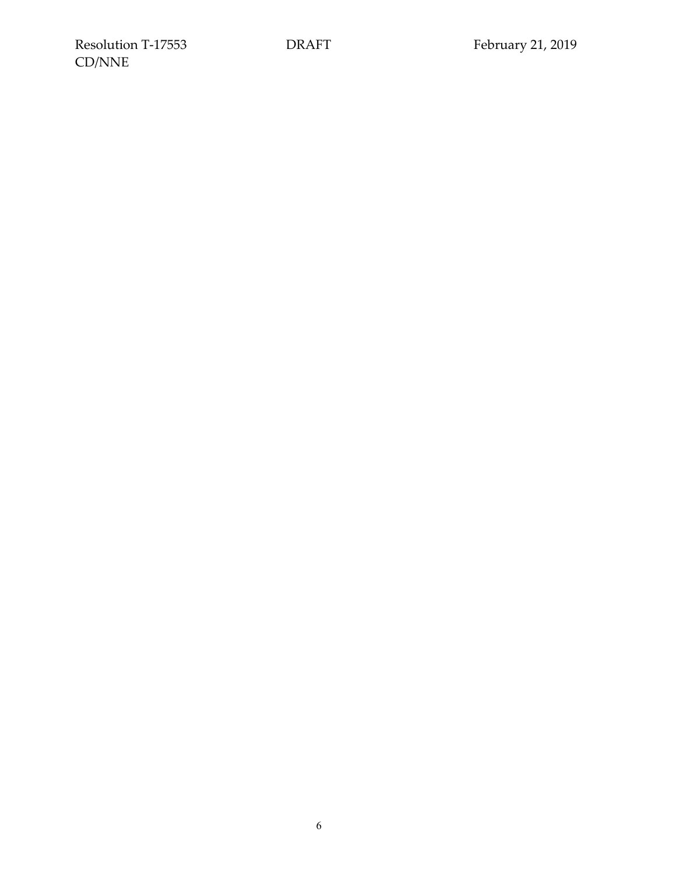6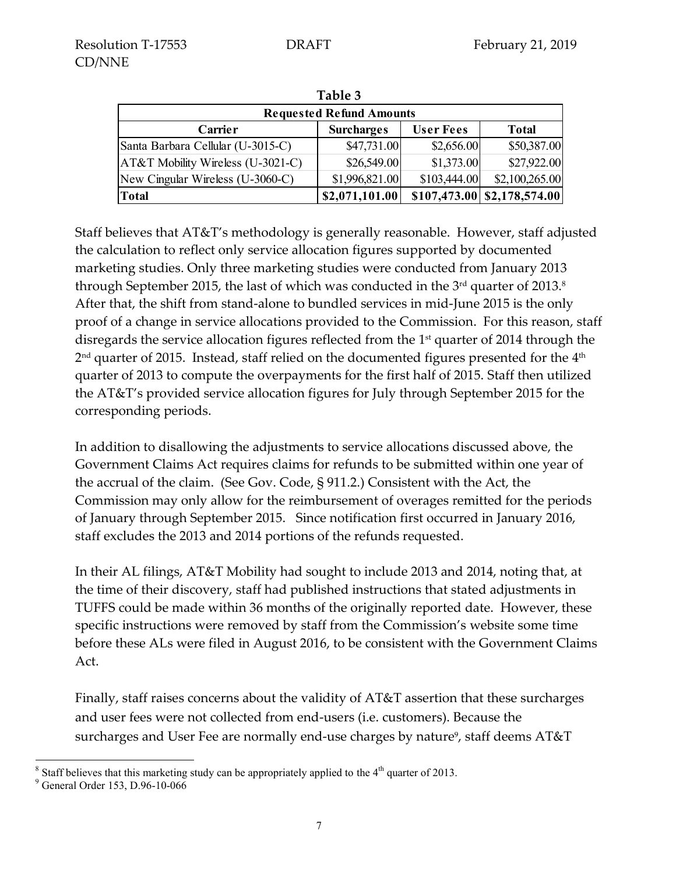| Table 3                           |                   |              |                                   |  |  |  |  |
|-----------------------------------|-------------------|--------------|-----------------------------------|--|--|--|--|
| <b>Requested Refund Amounts</b>   |                   |              |                                   |  |  |  |  |
| <b>Carrier</b>                    | <b>Surcharges</b> | User Fees    | <b>Total</b>                      |  |  |  |  |
| Santa Barbara Cellular (U-3015-C) | \$47,731.00       | \$2,656.00   | \$50,387.00                       |  |  |  |  |
| AT&T Mobility Wireless (U-3021-C) | \$26,549.00       | \$1,373.00   | \$27,922.00                       |  |  |  |  |
| New Cingular Wireless (U-3060-C)  | \$1,996,821.00    | \$103,444.00 | \$2,100,265.00                    |  |  |  |  |
| Total                             | \$2,071,101.00    |              | $$107,473.00 \, \, $2,178,574.00$ |  |  |  |  |

Staff believes that AT&T's methodology is generally reasonable. However, staff adjusted the calculation to reflect only service allocation figures supported by documented marketing studies. Only three marketing studies were conducted from January 2013 through September 2015, the last of which was conducted in the 3 $^{\rm rd}$  quarter of 2013. $^{\rm 8}$ After that, the shift from stand-alone to bundled services in mid-June 2015 is the only proof of a change in service allocations provided to the Commission. For this reason, staff disregards the service allocation figures reflected from the 1 st quarter of 2014 through the  $2^{\rm nd}$  quarter of 2015. Instead, staff relied on the documented figures presented for the  $4^{\rm th}$ quarter of 2013 to compute the overpayments for the first half of 2015. Staff then utilized the AT&T's provided service allocation figures for July through September 2015 for the corresponding periods.

In addition to disallowing the adjustments to service allocations discussed above, the Government Claims Act requires claims for refunds to be submitted within one year of the accrual of the claim. (See Gov. Code, § 911.2.) Consistent with the Act, the Commission may only allow for the reimbursement of overages remitted for the periods of January through September 2015. Since notification first occurred in January 2016, staff excludes the 2013 and 2014 portions of the refunds requested.

In their AL filings, AT&T Mobility had sought to include 2013 and 2014, noting that, at the time of their discovery, staff had published instructions that stated adjustments in TUFFS could be made within 36 months of the originally reported date. However, these specific instructions were removed by staff from the Commission's website some time before these ALs were filed in August 2016, to be consistent with the Government Claims Act.

Finally, staff raises concerns about the validity of AT&T assertion that these surcharges and user fees were not collected from end-users (i.e. customers). Because the surcharges and User Fee are normally end-use charges by nature<sup>9</sup>, staff deems  $\text{AT}\&\text{T}$ 

 $\overline{a}$ <sup>8</sup> Staff believes that this marketing study can be appropriately applied to the  $4<sup>th</sup>$  quarter of 2013.

<sup>9</sup> General Order 153, D.96-10-066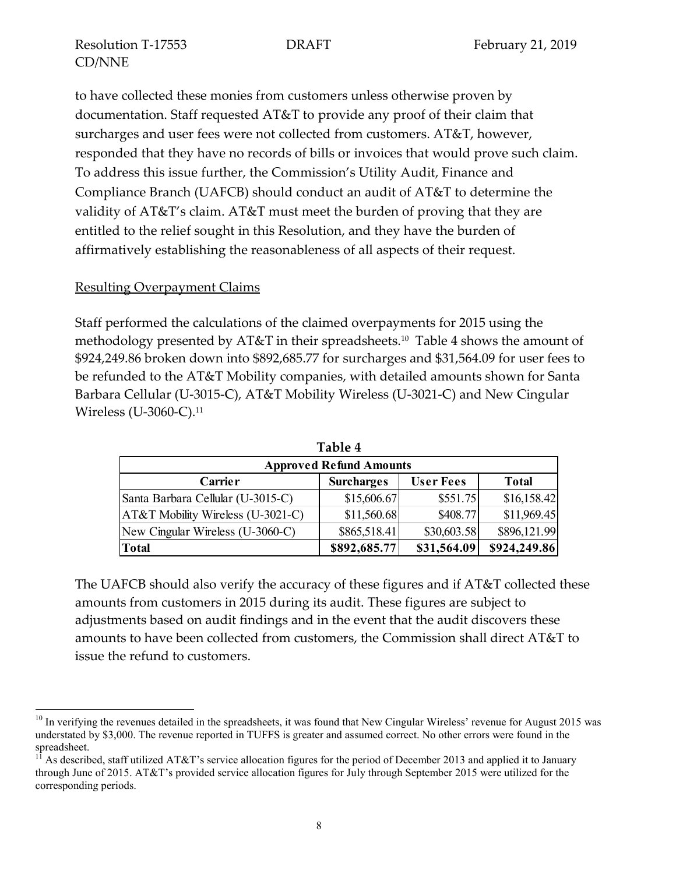to have collected these monies from customers unless otherwise proven by documentation. Staff requested AT&T to provide any proof of their claim that surcharges and user fees were not collected from customers. AT&T, however, responded that they have no records of bills or invoices that would prove such claim. To address this issue further, the Commission's Utility Audit, Finance and Compliance Branch (UAFCB) should conduct an audit of AT&T to determine the validity of AT&T's claim. AT&T must meet the burden of proving that they are entitled to the relief sought in this Resolution, and they have the burden of affirmatively establishing the reasonableness of all aspects of their request.

### Resulting Overpayment Claims

 $\overline{a}$ 

Staff performed the calculations of the claimed overpayments for 2015 using the methodology presented by AT&T in their spreadsheets.<sup>10</sup> Table 4 shows the amount of \$924,249.86 broken down into \$892,685.77 for surcharges and \$31,564.09 for user fees to be refunded to the AT&T Mobility companies, with detailed amounts shown for Santa Barbara Cellular (U-3015-C), AT&T Mobility Wireless (U-3021-C) and New Cingular Wireless (U-3060-C). 11

| Table 4                           |                   |             |              |  |  |  |  |
|-----------------------------------|-------------------|-------------|--------------|--|--|--|--|
| <b>Approved Refund Amounts</b>    |                   |             |              |  |  |  |  |
| <b>Carrier</b>                    | <b>Surcharges</b> | User Fees   | <b>Total</b> |  |  |  |  |
| Santa Barbara Cellular (U-3015-C) | \$15,606.67       | \$551.75    | \$16,158.42  |  |  |  |  |
| AT&T Mobility Wireless (U-3021-C) | \$11,560.68       | \$408.77    | \$11,969.45  |  |  |  |  |
| New Cingular Wireless (U-3060-C)  | \$865,518.41      | \$30,603.58 | \$896,121.99 |  |  |  |  |
| Total                             | \$892,685.77      | \$31,564.09 | \$924,249.86 |  |  |  |  |

The UAFCB should also verify the accuracy of these figures and if AT&T collected these amounts from customers in 2015 during its audit. These figures are subject to adjustments based on audit findings and in the event that the audit discovers these amounts to have been collected from customers, the Commission shall direct AT&T to issue the refund to customers.

 $10$  In verifying the revenues detailed in the spreadsheets, it was found that New Cingular Wireless' revenue for August 2015 was understated by \$3,000. The revenue reported in TUFFS is greater and assumed correct. No other errors were found in the spreadsheet.

<sup>&</sup>lt;sup>11</sup> As described, staff utilized AT&T's service allocation figures for the period of December 2013 and applied it to January through June of 2015. AT&T's provided service allocation figures for July through September 2015 were utilized for the corresponding periods.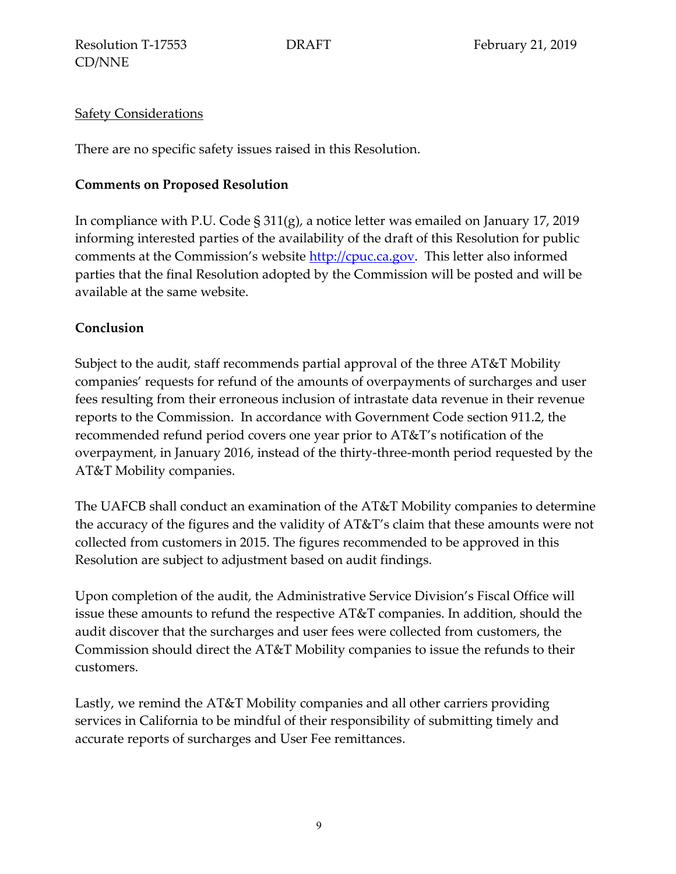### **Safety Considerations**

There are no specific safety issues raised in this Resolution.

# **Comments on Proposed Resolution**

In compliance with P.U. Code § 311(g), a notice letter was emailed on January 17, 2019 informing interested parties of the availability of the draft of this Resolution for public comments at the Commission's website [http://cpuc.ca.gov.](http://cpuc.ca.gov/) This letter also informed parties that the final Resolution adopted by the Commission will be posted and will be available at the same website.

# **Conclusion**

Subject to the audit, staff recommends partial approval of the three AT&T Mobility companies' requests for refund of the amounts of overpayments of surcharges and user fees resulting from their erroneous inclusion of intrastate data revenue in their revenue reports to the Commission. In accordance with Government Code section 911.2, the recommended refund period covers one year prior to AT&T's notification of the overpayment, in January 2016, instead of the thirty-three-month period requested by the AT&T Mobility companies.

The UAFCB shall conduct an examination of the AT&T Mobility companies to determine the accuracy of the figures and the validity of AT&T's claim that these amounts were not collected from customers in 2015. The figures recommended to be approved in this Resolution are subject to adjustment based on audit findings.

Upon completion of the audit, the Administrative Service Division's Fiscal Office will issue these amounts to refund the respective AT&T companies. In addition, should the audit discover that the surcharges and user fees were collected from customers, the Commission should direct the AT&T Mobility companies to issue the refunds to their customers.

Lastly, we remind the AT&T Mobility companies and all other carriers providing services in California to be mindful of their responsibility of submitting timely and accurate reports of surcharges and User Fee remittances.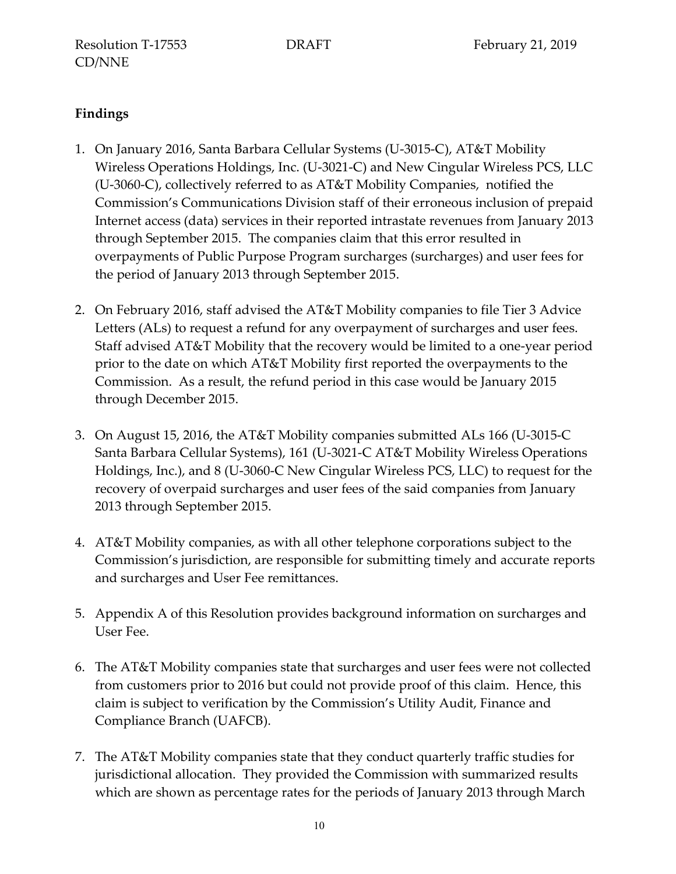# **Findings**

- 1. On January 2016, Santa Barbara Cellular Systems (U-3015-C), AT&T Mobility Wireless Operations Holdings, Inc. (U-3021-C) and New Cingular Wireless PCS, LLC (U-3060-C), collectively referred to as AT&T Mobility Companies, notified the Commission's Communications Division staff of their erroneous inclusion of prepaid Internet access (data) services in their reported intrastate revenues from January 2013 through September 2015. The companies claim that this error resulted in overpayments of Public Purpose Program surcharges (surcharges) and user fees for the period of January 2013 through September 2015.
- 2. On February 2016, staff advised the AT&T Mobility companies to file Tier 3 Advice Letters (ALs) to request a refund for any overpayment of surcharges and user fees. Staff advised AT&T Mobility that the recovery would be limited to a one-year period prior to the date on which AT&T Mobility first reported the overpayments to the Commission. As a result, the refund period in this case would be January 2015 through December 2015.
- 3. On August 15, 2016, the AT&T Mobility companies submitted ALs 166 (U-3015-C Santa Barbara Cellular Systems), 161 (U-3021-C AT&T Mobility Wireless Operations Holdings, Inc.), and 8 (U-3060-C New Cingular Wireless PCS, LLC) to request for the recovery of overpaid surcharges and user fees of the said companies from January 2013 through September 2015.
- 4. AT&T Mobility companies, as with all other telephone corporations subject to the Commission's jurisdiction, are responsible for submitting timely and accurate reports and surcharges and User Fee remittances.
- 5. Appendix A of this Resolution provides background information on surcharges and User Fee.
- 6. The AT&T Mobility companies state that surcharges and user fees were not collected from customers prior to 2016 but could not provide proof of this claim. Hence, this claim is subject to verification by the Commission's Utility Audit, Finance and Compliance Branch (UAFCB).
- 7. The AT&T Mobility companies state that they conduct quarterly traffic studies for jurisdictional allocation. They provided the Commission with summarized results which are shown as percentage rates for the periods of January 2013 through March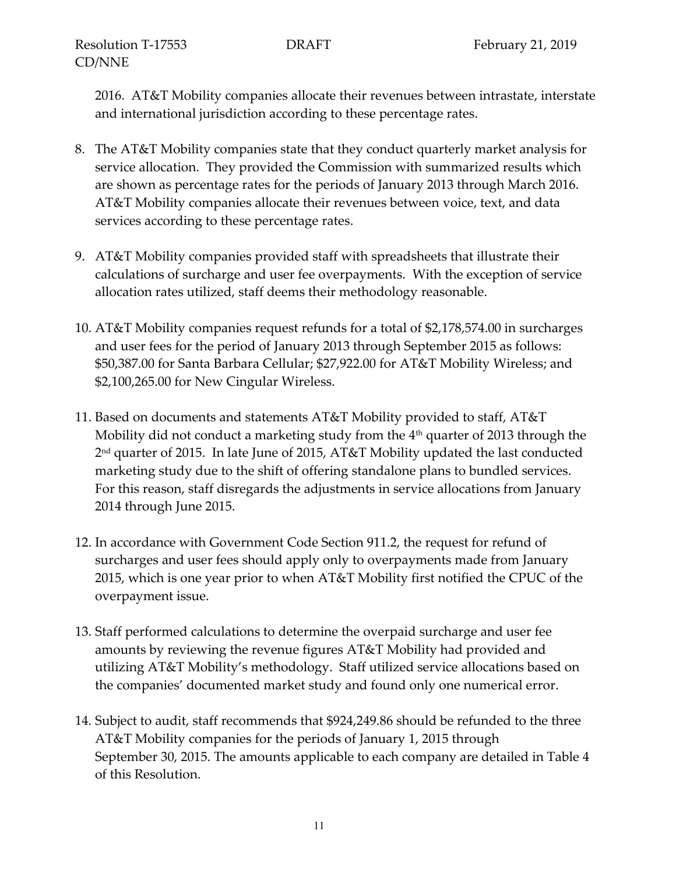2016. AT&T Mobility companies allocate their revenues between intrastate, interstate and international jurisdiction according to these percentage rates.

- 8. The AT&T Mobility companies state that they conduct quarterly market analysis for service allocation. They provided the Commission with summarized results which are shown as percentage rates for the periods of January 2013 through March 2016. AT&T Mobility companies allocate their revenues between voice, text, and data services according to these percentage rates.
- 9. AT&T Mobility companies provided staff with spreadsheets that illustrate their calculations of surcharge and user fee overpayments. With the exception of service allocation rates utilized, staff deems their methodology reasonable.
- 10. AT&T Mobility companies request refunds for a total of \$2,178,574.00 in surcharges and user fees for the period of January 2013 through September 2015 as follows: \$50,387.00 for Santa Barbara Cellular; \$27,922.00 for AT&T Mobility Wireless; and \$2,100,265.00 for New Cingular Wireless.
- 11. Based on documents and statements AT&T Mobility provided to staff, AT&T Mobility did not conduct a marketing study from the 4<sup>th</sup> quarter of 2013 through the 2 nd quarter of 2015. In late June of 2015, AT&T Mobility updated the last conducted marketing study due to the shift of offering standalone plans to bundled services. For this reason, staff disregards the adjustments in service allocations from January 2014 through June 2015.
- 12. In accordance with Government Code Section 911.2, the request for refund of surcharges and user fees should apply only to overpayments made from January 2015, which is one year prior to when AT&T Mobility first notified the CPUC of the overpayment issue.
- 13. Staff performed calculations to determine the overpaid surcharge and user fee amounts by reviewing the revenue figures AT&T Mobility had provided and utilizing AT&T Mobility's methodology. Staff utilized service allocations based on the companies' documented market study and found only one numerical error.
- 14. Subject to audit, staff recommends that \$924,249.86 should be refunded to the three AT&T Mobility companies for the periods of January 1, 2015 through September 30, 2015. The amounts applicable to each company are detailed in Table 4 of this Resolution.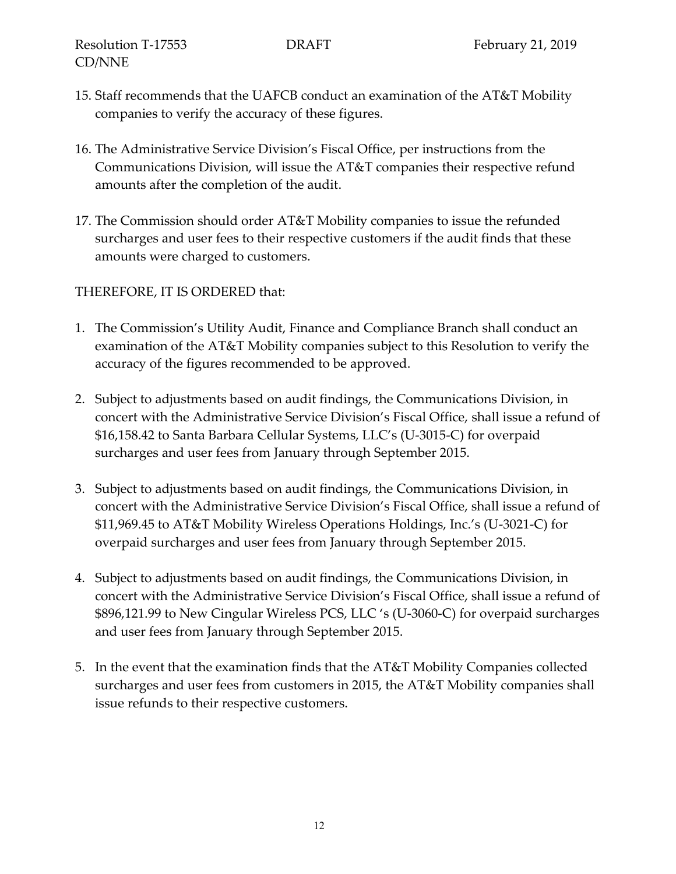- 15. Staff recommends that the UAFCB conduct an examination of the AT&T Mobility companies to verify the accuracy of these figures.
- 16. The Administrative Service Division's Fiscal Office, per instructions from the Communications Division, will issue the AT&T companies their respective refund amounts after the completion of the audit.
- 17. The Commission should order AT&T Mobility companies to issue the refunded surcharges and user fees to their respective customers if the audit finds that these amounts were charged to customers.

# THEREFORE, IT IS ORDERED that:

- 1. The Commission's Utility Audit, Finance and Compliance Branch shall conduct an examination of the AT&T Mobility companies subject to this Resolution to verify the accuracy of the figures recommended to be approved.
- 2. Subject to adjustments based on audit findings, the Communications Division, in concert with the Administrative Service Division's Fiscal Office, shall issue a refund of \$16,158.42 to Santa Barbara Cellular Systems, LLC's (U-3015-C) for overpaid surcharges and user fees from January through September 2015.
- 3. Subject to adjustments based on audit findings, the Communications Division, in concert with the Administrative Service Division's Fiscal Office, shall issue a refund of \$11,969.45 to AT&T Mobility Wireless Operations Holdings, Inc.'s (U-3021-C) for overpaid surcharges and user fees from January through September 2015.
- 4. Subject to adjustments based on audit findings, the Communications Division, in concert with the Administrative Service Division's Fiscal Office, shall issue a refund of \$896,121.99 to New Cingular Wireless PCS, LLC 's (U-3060-C) for overpaid surcharges and user fees from January through September 2015.
- 5. In the event that the examination finds that the AT&T Mobility Companies collected surcharges and user fees from customers in 2015, the AT&T Mobility companies shall issue refunds to their respective customers.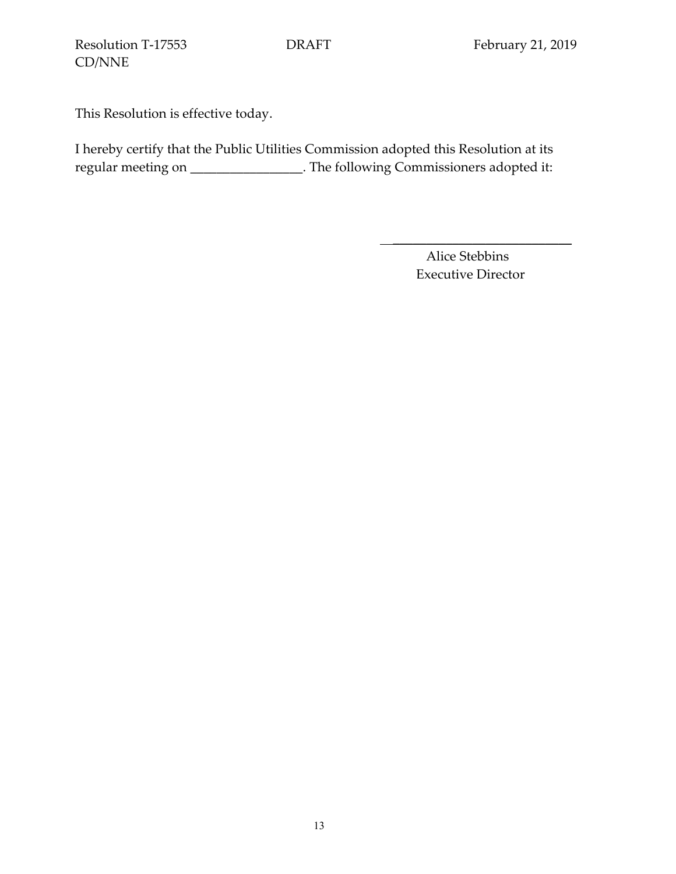This Resolution is effective today.

I hereby certify that the Public Utilities Commission adopted this Resolution at its regular meeting on \_\_\_\_\_\_\_\_\_\_\_\_\_\_\_\_\_. The following Commissioners adopted it:

> Alice Stebbins Executive Director

 $\frac{1}{2}$  ,  $\frac{1}{2}$  ,  $\frac{1}{2}$  ,  $\frac{1}{2}$  ,  $\frac{1}{2}$  ,  $\frac{1}{2}$  ,  $\frac{1}{2}$  ,  $\frac{1}{2}$  ,  $\frac{1}{2}$  ,  $\frac{1}{2}$  ,  $\frac{1}{2}$  ,  $\frac{1}{2}$  ,  $\frac{1}{2}$  ,  $\frac{1}{2}$  ,  $\frac{1}{2}$  ,  $\frac{1}{2}$  ,  $\frac{1}{2}$  ,  $\frac{1}{2}$  ,  $\frac{1$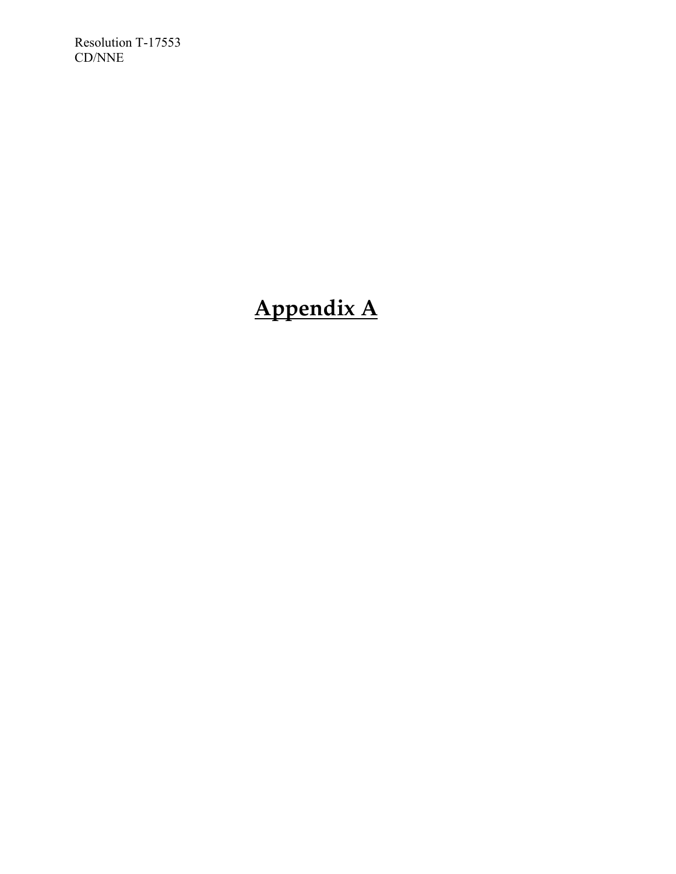Resolution T-17553 CD/NNE

# **Appendix A**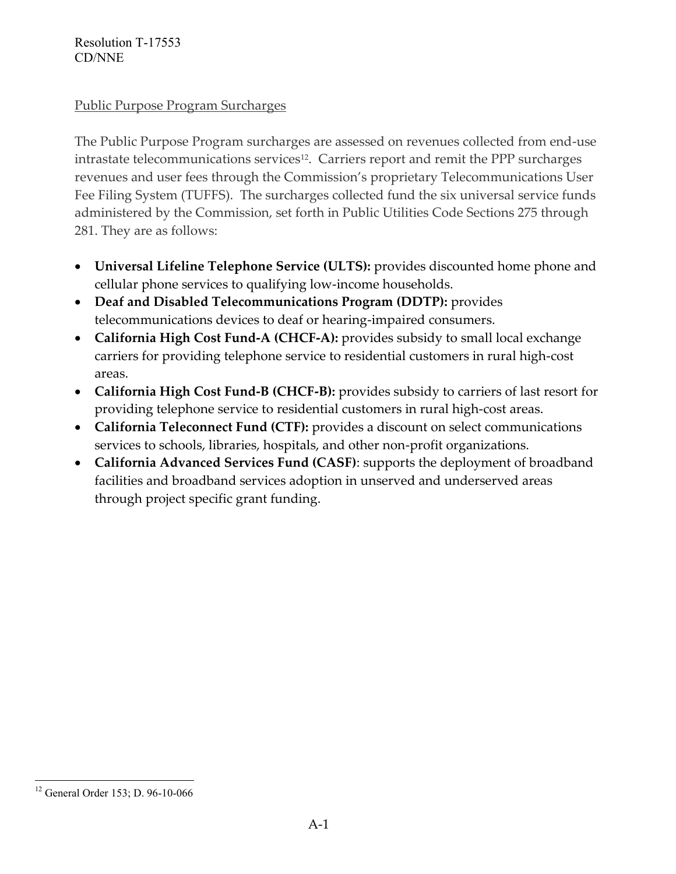Resolution T-17553 CD/NNE

# Public Purpose Program Surcharges

The Public Purpose Program surcharges are assessed on revenues collected from end-use intrastate telecommunications services<sup>12</sup>. Carriers report and remit the PPP surcharges revenues and user fees through the Commission's proprietary Telecommunications User Fee Filing System (TUFFS). The surcharges collected fund the six universal service funds administered by the Commission, set forth in Public Utilities Code Sections 275 through 281. They are as follows:

- **Universal Lifeline Telephone Service (ULTS):** provides discounted home phone and cellular phone services to qualifying low-income households.
- **Deaf and Disabled Telecommunications Program (DDTP):** provides telecommunications devices to deaf or hearing-impaired consumers.
- **California High Cost Fund-A (CHCF-A):** provides subsidy to small local exchange carriers for providing telephone service to residential customers in rural high-cost areas.
- **California High Cost Fund-B (CHCF-B):** provides subsidy to carriers of last resort for providing telephone service to residential customers in rural high-cost areas.
- **California Teleconnect Fund (CTF):** provides a discount on select communications services to schools, libraries, hospitals, and other non-profit organizations.
- **California Advanced Services Fund (CASF)**: supports the deployment of broadband facilities and broadband services adoption in unserved and underserved areas through project specific grant funding.

 $\overline{a}$ 

<sup>12</sup> General Order 153; D. 96-10-066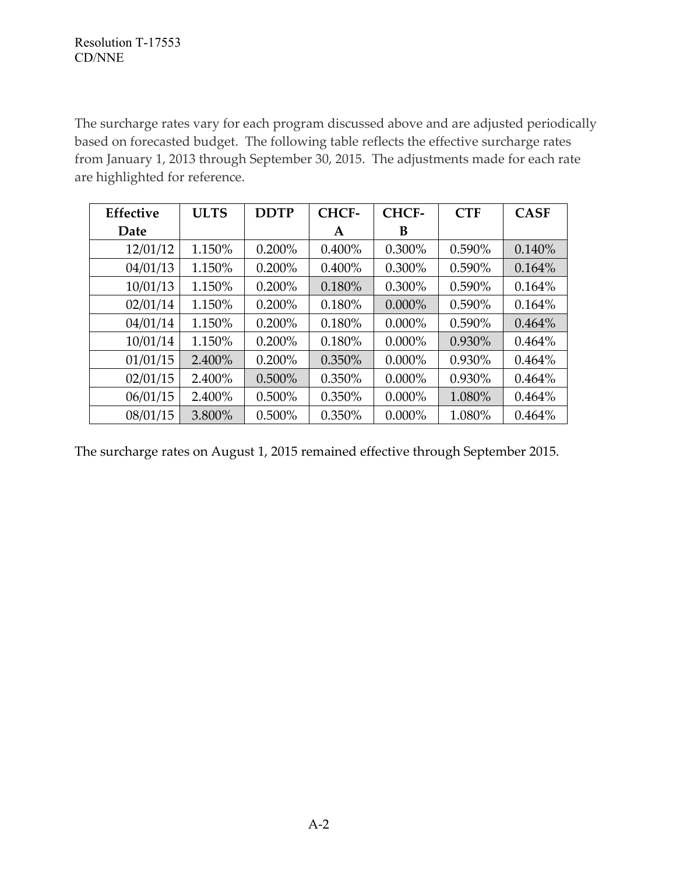The surcharge rates vary for each program discussed above and are adjusted periodically based on forecasted budget. The following table reflects the effective surcharge rates from January 1, 2013 through September 30, 2015. The adjustments made for each rate are highlighted for reference.

| <b>Effective</b> | <b>ULTS</b> | <b>DDTP</b> | <b>CHCF-</b> | <b>CHCF-</b> | <b>CTF</b> | <b>CASF</b> |
|------------------|-------------|-------------|--------------|--------------|------------|-------------|
| Date             |             |             | A            | B            |            |             |
| 12/01/12         | 1.150%      | 0.200%      | $0.400\%$    | 0.300%       | 0.590%     | 0.140%      |
| 04/01/13         | 1.150%      | 0.200%      | $0.400\%$    | 0.300%       | 0.590%     | 0.164%      |
| 10/01/13         | 1.150%      | 0.200%      | 0.180%       | 0.300%       | 0.590%     | 0.164%      |
| 02/01/14         | 1.150%      | $0.200\%$   | 0.180%       | $0.000\%$    | 0.590%     | 0.164%      |
| 04/01/14         | 1.150%      | $0.200\%$   | 0.180%       | $0.000\%$    | 0.590%     | 0.464%      |
| 10/01/14         | 1.150%      | $0.200\%$   | 0.180%       | $0.000\%$    | 0.930%     | 0.464%      |
| 01/01/15         | 2.400%      | 0.200%      | 0.350%       | $0.000\%$    | 0.930%     | 0.464%      |
| 02/01/15         | 2.400%      | 0.500%      | 0.350%       | $0.000\%$    | 0.930%     | 0.464%      |
| 06/01/15         | 2.400%      | 0.500%      | 0.350%       | $0.000\%$    | 1.080%     | 0.464%      |
| 08/01/15         | 3.800%      | 0.500%      | 0.350%       | $0.000\%$    | 1.080%     | 0.464%      |

The surcharge rates on August 1, 2015 remained effective through September 2015.